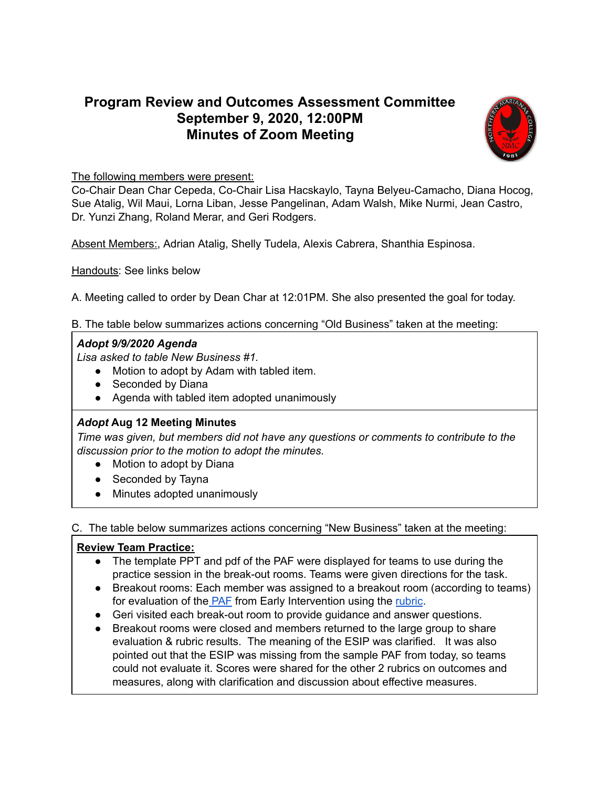# **Program Review and Outcomes Assessment Committee September 9, 2020, 12:00PM Minutes of Zoom Meeting**



#### The following members were present:

Co-Chair Dean Char Cepeda, Co-Chair Lisa Hacskaylo, Tayna Belyeu-Camacho, Diana Hocog, Sue Atalig, Wil Maui, Lorna Liban, Jesse Pangelinan, Adam Walsh, Mike Nurmi, Jean Castro, Dr. Yunzi Zhang, Roland Merar, and Geri Rodgers.

Absent Members:, Adrian Atalig, Shelly Tudela, Alexis Cabrera, Shanthia Espinosa.

Handouts: See links below

A. Meeting called to order by Dean Char at 12:01PM. She also presented the goal for today.

B. The table below summarizes actions concerning "Old Business" taken at the meeting:

### *Adopt 9/9/2020 Agenda*

*Lisa asked to table New Business #1.*

- Motion to adopt by Adam with tabled item.
- Seconded by Diana
- Agenda with tabled item adopted unanimously

## *Adopt* **Aug 12 Meeting Minutes**

*Time was given, but members did not have any questions or comments to contribute to the discussion prior to the motion to adopt the minutes.*

- Motion to adopt by Diana
- Seconded by Tayna
- Minutes adopted unanimously

C. The table below summarizes actions concerning "New Business" taken at the meeting:

## **Review Team Practice:**

- The template PPT and pdf of the PAF were displayed for teams to use during the practice session in the break-out rooms. Teams were given directions for the task.
- Breakout rooms: Each member was assigned to a breakout room (according to teams) for evaluation of the [PAF](https://drive.google.com/file/d/1GAJ7mhDVqwXFIpDPKuLA9-0Km2iEeUIQ/view?usp=sharing) from Early Intervention using the [rubric](https://docs.google.com/presentation/d/15lptbdntmcbCbMk4an5upGl-f8YCA7tFmLRuYngL8rY/edit?usp=sharing).
- Geri visited each break-out room to provide guidance and answer questions.
- Breakout rooms were closed and members returned to the large group to share evaluation & rubric results. The meaning of the ESIP was clarified. It was also pointed out that the ESIP was missing from the sample PAF from today, so teams could not evaluate it. Scores were shared for the other 2 rubrics on outcomes and measures, along with clarification and discussion about effective measures.